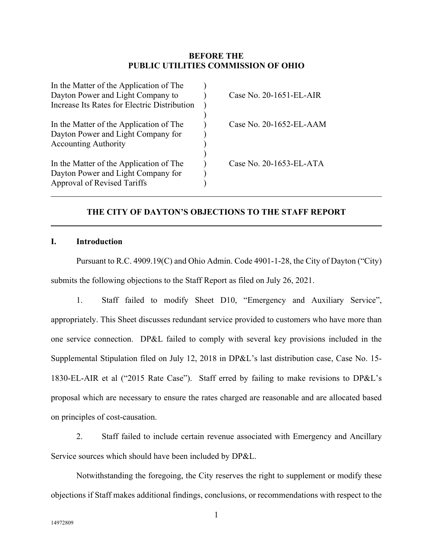## **BEFORE THE PUBLIC UTILITIES COMMISSION OF OHIO**

| In the Matter of the Application of The      |                            |
|----------------------------------------------|----------------------------|
| Dayton Power and Light Company to            | Case No. 20-1651-EL-AIR    |
| Increase Its Rates for Electric Distribution |                            |
|                                              |                            |
| In the Matter of the Application of The      | Case No. $20-1652$ -EL-AAM |
| Dayton Power and Light Company for           |                            |
| <b>Accounting Authority</b>                  |                            |
|                                              |                            |
| In the Matter of the Application of The      | Case No. 20-1653-EL-ATA    |
| Dayton Power and Light Company for           |                            |
| Approval of Revised Tariffs                  |                            |
|                                              |                            |

# **THE CITY OF DAYTON'S OBJECTIONS TO THE STAFF REPORT**

### **I. Introduction**

Pursuant to R.C. 4909.19(C) and Ohio Admin. Code 4901-1-28, the City of Dayton ("City) submits the following objections to the Staff Report as filed on July 26, 2021.

1. Staff failed to modify Sheet D10, "Emergency and Auxiliary Service", appropriately. This Sheet discusses redundant service provided to customers who have more than one service connection. DP&L failed to comply with several key provisions included in the Supplemental Stipulation filed on July 12, 2018 in DP&L's last distribution case, Case No. 15- 1830-EL-AIR et al ("2015 Rate Case"). Staff erred by failing to make revisions to DP&L's proposal which are necessary to ensure the rates charged are reasonable and are allocated based on principles of cost-causation.

2. Staff failed to include certain revenue associated with Emergency and Ancillary Service sources which should have been included by DP&L.

Notwithstanding the foregoing, the City reserves the right to supplement or modify these objections if Staff makes additional findings, conclusions, or recommendations with respect to the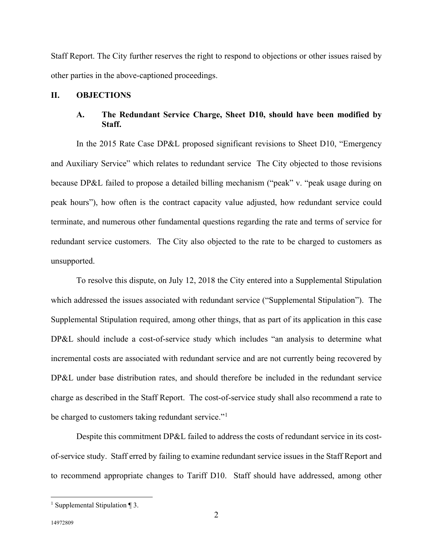Staff Report. The City further reserves the right to respond to objections or other issues raised by other parties in the above-captioned proceedings.

### **II. OBJECTIONS**

## **A. The Redundant Service Charge, Sheet D10, should have been modified by Staff.**

In the 2015 Rate Case DP&L proposed significant revisions to Sheet D10, "Emergency and Auxiliary Service" which relates to redundant service The City objected to those revisions because DP&L failed to propose a detailed billing mechanism ("peak" v. "peak usage during on peak hours"), how often is the contract capacity value adjusted, how redundant service could terminate, and numerous other fundamental questions regarding the rate and terms of service for redundant service customers. The City also objected to the rate to be charged to customers as unsupported.

To resolve this dispute, on July 12, 2018 the City entered into a Supplemental Stipulation which addressed the issues associated with redundant service ("Supplemental Stipulation"). The Supplemental Stipulation required, among other things, that as part of its application in this case DP&L should include a cost-of-service study which includes "an analysis to determine what incremental costs are associated with redundant service and are not currently being recovered by DP&L under base distribution rates, and should therefore be included in the redundant service charge as described in the Staff Report. The cost-of-service study shall also recommend a rate to be charged to customers taking redundant service."<sup>[1](#page-1-0)</sup>

Despite this commitment DP&L failed to address the costs of redundant service in its costof-service study. Staff erred by failing to examine redundant service issues in the Staff Report and to recommend appropriate changes to Tariff D10. Staff should have addressed, among other

<span id="page-1-0"></span><sup>&</sup>lt;sup>1</sup> Supplemental Stipulation  $\P$  3.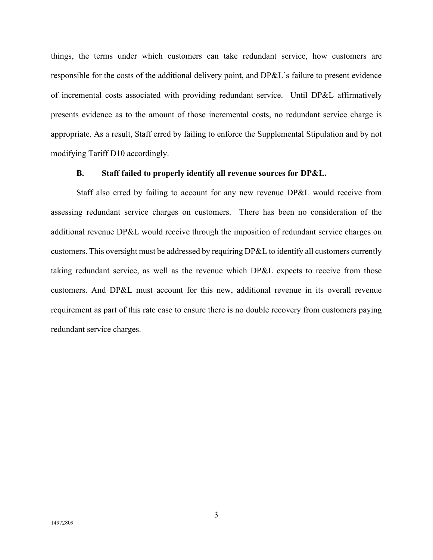things, the terms under which customers can take redundant service, how customers are responsible for the costs of the additional delivery point, and DP&L's failure to present evidence of incremental costs associated with providing redundant service. Until DP&L affirmatively presents evidence as to the amount of those incremental costs, no redundant service charge is appropriate. As a result, Staff erred by failing to enforce the Supplemental Stipulation and by not modifying Tariff D10 accordingly.

#### **B. Staff failed to properly identify all revenue sources for DP&L.**

Staff also erred by failing to account for any new revenue DP&L would receive from assessing redundant service charges on customers. There has been no consideration of the additional revenue DP&L would receive through the imposition of redundant service charges on customers. This oversight must be addressed by requiring DP&L to identify all customers currently taking redundant service, as well as the revenue which DP&L expects to receive from those customers. And DP&L must account for this new, additional revenue in its overall revenue requirement as part of this rate case to ensure there is no double recovery from customers paying redundant service charges.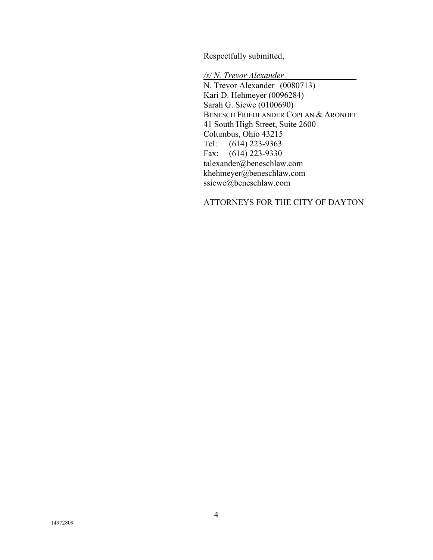Respectfully submitted,

*/s/ N. Trevor Alexander* N. Trevor Alexander (0080713) Kari D. Hehmeyer (0096284) Sarah G. Siewe (0100690) BENESCH FRIEDLANDER COPLAN & ARONOFF 41 South High Street, Suite 2600 Columbus, Ohio 43215 Tel: (614) 223-9363 Fax: (614) 223-9330 talexander@beneschlaw.com khehmeyer@beneschlaw.com ssiewe@beneschlaw.com

## ATTORNEYS FOR THE CITY OF DAYTON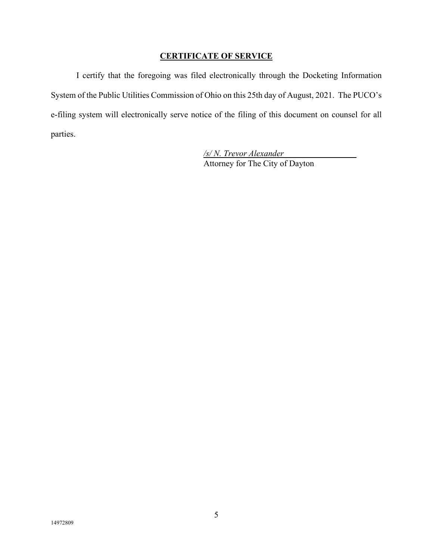# **CERTIFICATE OF SERVICE**

I certify that the foregoing was filed electronically through the Docketing Information System of the Public Utilities Commission of Ohio on this 25th day of August, 2021. The PUCO's e-filing system will electronically serve notice of the filing of this document on counsel for all parties.

> */s/ N. Trevor Alexander* Attorney for The City of Dayton